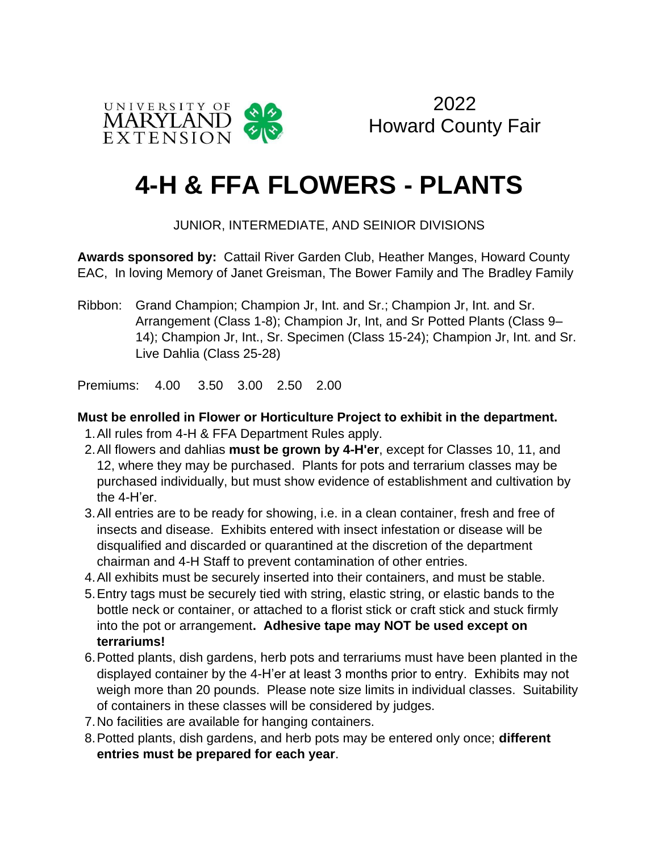

2022 Howard County Fair

# **4-H & FFA FLOWERS - PLANTS**

JUNIOR, INTERMEDIATE, AND SEINIOR DIVISIONS

**Awards sponsored by:** Cattail River Garden Club, Heather Manges, Howard County EAC, In loving Memory of Janet Greisman, The Bower Family and The Bradley Family

Ribbon: Grand Champion; Champion Jr, Int. and Sr.; Champion Jr, Int. and Sr. Arrangement (Class 1-8); Champion Jr, Int, and Sr Potted Plants (Class 9– 14); Champion Jr, Int., Sr. Specimen (Class 15-24); Champion Jr, Int. and Sr. Live Dahlia (Class 25-28)

Premiums: 4.00 3.50 3.00 2.50 2.00

#### **Must be enrolled in Flower or Horticulture Project to exhibit in the department.**

- 1.All rules from 4-H & FFA Department Rules apply.
- 2.All flowers and dahlias **must be grown by 4-H'er**, except for Classes 10, 11, and 12, where they may be purchased. Plants for pots and terrarium classes may be purchased individually, but must show evidence of establishment and cultivation by the 4-H'er.
- 3.All entries are to be ready for showing, i.e. in a clean container, fresh and free of insects and disease. Exhibits entered with insect infestation or disease will be disqualified and discarded or quarantined at the discretion of the department chairman and 4-H Staff to prevent contamination of other entries.
- 4.All exhibits must be securely inserted into their containers, and must be stable.
- 5.Entry tags must be securely tied with string, elastic string, or elastic bands to the bottle neck or container, or attached to a florist stick or craft stick and stuck firmly into the pot or arrangement**. Adhesive tape may NOT be used except on terrariums!**
- 6.Potted plants, dish gardens, herb pots and terrariums must have been planted in the displayed container by the 4-H'er at least 3 months prior to entry. Exhibits may not weigh more than 20 pounds. Please note size limits in individual classes. Suitability of containers in these classes will be considered by judges.
- 7.No facilities are available for hanging containers.
- 8.Potted plants, dish gardens, and herb pots may be entered only once; **different entries must be prepared for each year**.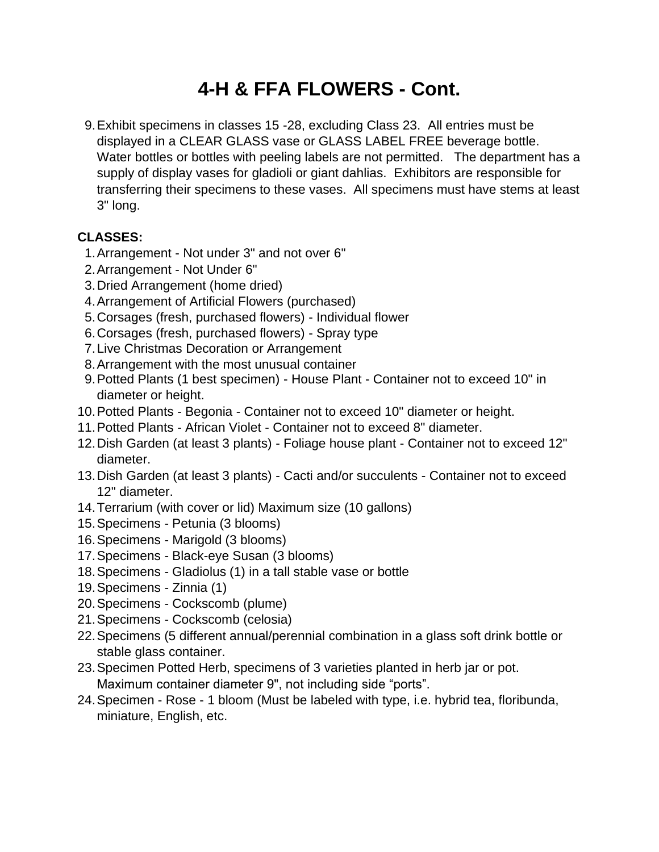## **4-H & FFA FLOWERS - Cont.**

 9.Exhibit specimens in classes 15 -28, excluding Class 23. All entries must be displayed in a CLEAR GLASS vase or GLASS LABEL FREE beverage bottle. Water bottles or bottles with peeling labels are not permitted. The department has a supply of display vases for gladioli or giant dahlias. Exhibitors are responsible for transferring their specimens to these vases. All specimens must have stems at least 3" long.

### **CLASSES:**

- 1.Arrangement Not under 3" and not over 6"
- 2.Arrangement Not Under 6"
- 3.Dried Arrangement (home dried)
- 4.Arrangement of Artificial Flowers (purchased)
- 5.Corsages (fresh, purchased flowers) Individual flower
- 6.Corsages (fresh, purchased flowers) Spray type
- 7.Live Christmas Decoration or Arrangement
- 8.Arrangement with the most unusual container
- 9.Potted Plants (1 best specimen) House Plant Container not to exceed 10" in diameter or height.
- 10.Potted Plants Begonia Container not to exceed 10" diameter or height.
- 11.Potted Plants African Violet Container not to exceed 8" diameter.
- 12.Dish Garden (at least 3 plants) Foliage house plant Container not to exceed 12" diameter.
- 13.Dish Garden (at least 3 plants) Cacti and/or succulents Container not to exceed 12" diameter.
- 14.Terrarium (with cover or lid) Maximum size (10 gallons)
- 15.Specimens Petunia (3 blooms)
- 16.Specimens Marigold (3 blooms)
- 17.Specimens Black-eye Susan (3 blooms)
- 18.Specimens Gladiolus (1) in a tall stable vase or bottle
- 19.Specimens Zinnia (1)
- 20.Specimens Cockscomb (plume)
- 21.Specimens Cockscomb (celosia)
- 22.Specimens (5 different annual/perennial combination in a glass soft drink bottle or stable glass container.
- 23.Specimen Potted Herb, specimens of 3 varieties planted in herb jar or pot. Maximum container diameter 9", not including side "ports".
- 24.Specimen Rose 1 bloom (Must be labeled with type, i.e. hybrid tea, floribunda, miniature, English, etc.